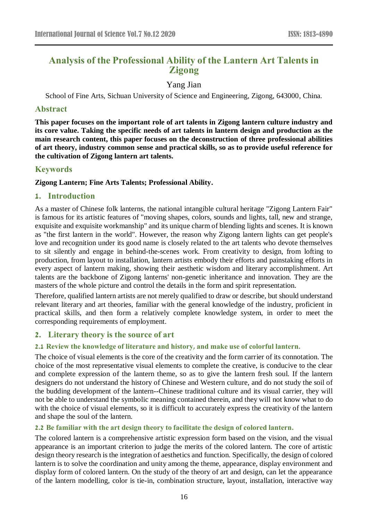# **Analysis of the Professional Ability of the Lantern Art Talents in Zigong**

## Yang Jian

School of Fine Arts, Sichuan University of Science and Engineering, Zigong, 643000, China.

## **Abstract**

**This paper focuses on the important role of art talents in Zigong lantern culture industry and its core value. Taking the specific needs of art talents in lantern design and production as the main research content, this paper focuses on the deconstruction of three professional abilities of art theory, industry common sense and practical skills, so as to provide useful reference for the cultivation of Zigong lantern art talents.**

## **Keywords**

#### **Zigong Lantern; Fine Arts Talents; Professional Ability.**

## **1. Introduction**

As a master of Chinese folk lanterns, the national intangible cultural heritage "Zigong Lantern Fair" is famous for its artistic features of "moving shapes, colors, sounds and lights, tall, new and strange, exquisite and exquisite workmanship" and its unique charm of blending lights and scenes. It is known as "the first lantern in the world". However, the reason why Zigong lantern lights can get people's love and recognition under its good name is closely related to the art talents who devote themselves to sit silently and engage in behind-the-scenes work. From creativity to design, from lofting to production, from layout to installation, lantern artists embody their efforts and painstaking efforts in every aspect of lantern making, showing their aesthetic wisdom and literary accomplishment. Art talents are the backbone of Zigong lanterns' non-genetic inheritance and innovation. They are the masters of the whole picture and control the details in the form and spirit representation.

Therefore, qualified lantern artists are not merely qualified to draw or describe, but should understand relevant literary and art theories, familiar with the general knowledge of the industry, proficient in practical skills, and then form a relatively complete knowledge system, in order to meet the corresponding requirements of employment.

## **2. Literary theory is the source of art**

#### **2.1 Review the knowledge of literature and history, and make use of colorful lantern.**

The choice of visual elements is the core of the creativity and the form carrier of its connotation. The choice of the most representative visual elements to complete the creative, is conducive to the clear and complete expression of the lantern theme, so as to give the lantern fresh soul. If the lantern designers do not understand the history of Chinese and Western culture, and do not study the soil of the budding development of the lantern--Chinese traditional culture and its visual carrier, they will not be able to understand the symbolic meaning contained therein, and they will not know what to do with the choice of visual elements, so it is difficult to accurately express the creativity of the lantern and shape the soul of the lantern.

#### **2.2 Be familiar with the art design theory to facilitate the design of colored lantern.**

The colored lantern is a comprehensive artistic expression form based on the vision, and the visual appearance is an important criterion to judge the merits of the colored lantern. The core of artistic design theory research is the integration of aesthetics and function. Specifically, the design of colored lantern is to solve the coordination and unity among the theme, appearance, display environment and display form of colored lantern. On the study of the theory of art and design, can let the appearance of the lantern modelling, color is tie-in, combination structure, layout, installation, interactive way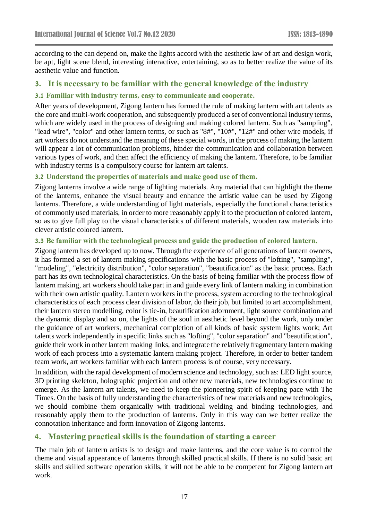according to the can depend on, make the lights accord with the aesthetic law of art and design work, be apt, light scene blend, interesting interactive, entertaining, so as to better realize the value of its aesthetic value and function.

## **3. It is necessary to be familiar with the general knowledge of the industry**

## **3.1 Familiar with industry terms, easy to communicate and cooperate.**

After years of development, Zigong lantern has formed the rule of making lantern with art talents as the core and multi-work cooperation, and subsequently produced a set of conventional industry terms, which are widely used in the process of designing and making colored lantern. Such as "sampling", "lead wire", "color" and other lantern terms, or such as "8#", "10#", "12#" and other wire models, if art workers do not understand the meaning of these special words, in the process of making the lantern will appear a lot of communication problems, hinder the communication and collaboration between various types of work, and then affect the efficiency of making the lantern. Therefore, to be familiar with industry terms is a compulsory course for lantern art talents.

#### **3.2 Understand the properties of materials and make good use of them.**

Zigong lanterns involve a wide range of lighting materials. Any material that can highlight the theme of the lanterns, enhance the visual beauty and enhance the artistic value can be used by Zigong lanterns. Therefore, a wide understanding of light materials, especially the functional characteristics of commonly used materials, in order to more reasonably apply it to the production of colored lantern, so as to give full play to the visual characteristics of different materials, wooden raw materials into clever artistic colored lantern.

## **3.3 Be familiar with the technological process and guide the production of colored lantern.**

Zigong lantern has developed up to now. Through the experience of all generations of lantern owners, it has formed a set of lantern making specifications with the basic process of "lofting", "sampling", "modeling", "electricity distribution", "color separation", "beautification" as the basic process. Each part has its own technological characteristics. On the basis of being familiar with the process flow of lantern making, art workers should take part in and guide every link of lantern making in combination with their own artistic quality. Lantern workers in the process, system according to the technological characteristics of each process clear division of labor, do their job, but limited to art accomplishment, their lantern stereo modelling, color is tie-in, beautification adornment, light source combination and the dynamic display and so on, the lights of the soul in aesthetic level beyond the work, only under the guidance of art workers, mechanical completion of all kinds of basic system lights work; Art talents work independently in specific links such as "lofting", "color separation" and "beautification", guide their work in other lantern making links, and integrate the relatively fragmentary lantern making work of each process into a systematic lantern making project. Therefore, in order to better tandem team work, art workers familiar with each lantern process is of course, very necessary.

In addition, with the rapid development of modern science and technology, such as: LED light source, 3D printing skeleton, holographic projection and other new materials, new technologies continue to emerge. As the lantern art talents, we need to keep the pioneering spirit of keeping pace with The Times. On the basis of fully understanding the characteristics of new materials and new technologies, we should combine them organically with traditional welding and binding technologies, and reasonably apply them to the production of lanterns. Only in this way can we better realize the connotation inheritance and form innovation of Zigong lanterns.

## **4. Mastering practical skills is the foundation of starting a career**

The main job of lantern artists is to design and make lanterns, and the core value is to control the theme and visual appearance of lanterns through skilled practical skills. If there is no solid basic art skills and skilled software operation skills, it will not be able to be competent for Zigong lantern art work.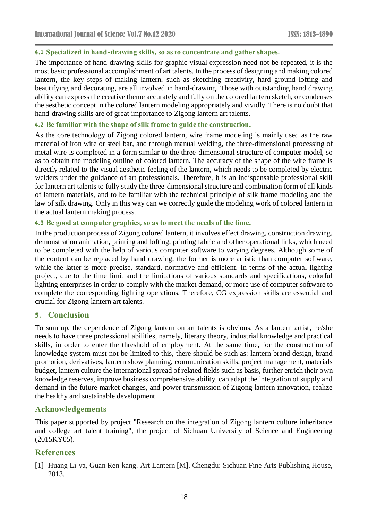#### **4.1 Specialized in hand-drawing skills, so as to concentrate and gather shapes.**

The importance of hand-drawing skills for graphic visual expression need not be repeated, it is the most basic professional accomplishment of art talents. In the process of designing and making colored lantern, the key steps of making lantern, such as sketching creativity, hard ground lofting and beautifying and decorating, are all involved in hand-drawing. Those with outstanding hand drawing ability can express the creative theme accurately and fully on the colored lantern sketch, or condenses the aesthetic concept in the colored lantern modeling appropriately and vividly. There is no doubt that hand-drawing skills are of great importance to Zigong lantern art talents.

#### **4.2 Be familiar with the shape of silk frame to guide the construction.**

As the core technology of Zigong colored lantern, wire frame modeling is mainly used as the raw material of iron wire or steel bar, and through manual welding, the three-dimensional processing of metal wire is completed in a form similar to the three-dimensional structure of computer model, so as to obtain the modeling outline of colored lantern. The accuracy of the shape of the wire frame is directly related to the visual aesthetic feeling of the lantern, which needs to be completed by electric welders under the guidance of art professionals. Therefore, it is an indispensable professional skill for lantern art talents to fully study the three-dimensional structure and combination form of all kinds of lantern materials, and to be familiar with the technical principle of silk frame modeling and the law of silk drawing. Only in this way can we correctly guide the modeling work of colored lantern in the actual lantern making process.

#### **4.3 Be good at computer graphics, so as to meet the needs of the time.**

In the production process of Zigong colored lantern, it involves effect drawing, construction drawing, demonstration animation, printing and lofting, printing fabric and other operational links, which need to be completed with the help of various computer software to varying degrees. Although some of the content can be replaced by hand drawing, the former is more artistic than computer software, while the latter is more precise, standard, normative and efficient. In terms of the actual lighting project, due to the time limit and the limitations of various standards and specifications, colorful lighting enterprises in order to comply with the market demand, or more use of computer software to complete the corresponding lighting operations. Therefore, CG expression skills are essential and crucial for Zigong lantern art talents.

#### **5. Conclusion**

To sum up, the dependence of Zigong lantern on art talents is obvious. As a lantern artist, he/she needs to have three professional abilities, namely, literary theory, industrial knowledge and practical skills, in order to enter the threshold of employment. At the same time, for the construction of knowledge system must not be limited to this, there should be such as: lantern brand design, brand promotion, derivatives, lantern show planning, communication skills, project management, materials budget, lantern culture the international spread of related fields such as basis, further enrich their own knowledge reserves, improve business comprehensive ability, can adapt the integration of supply and demand in the future market changes, and power transmission of Zigong lantern innovation, realize the healthy and sustainable development.

### **Acknowledgements**

This paper supported by project "Research on the integration of Zigong lantern culture inheritance and college art talent training", the project of Sichuan University of Science and Engineering (2015KY05).

## **References**

[1] Huang Li-ya, Guan Ren-kang. Art Lantern [M]. Chengdu: Sichuan Fine Arts Publishing House, 2013.